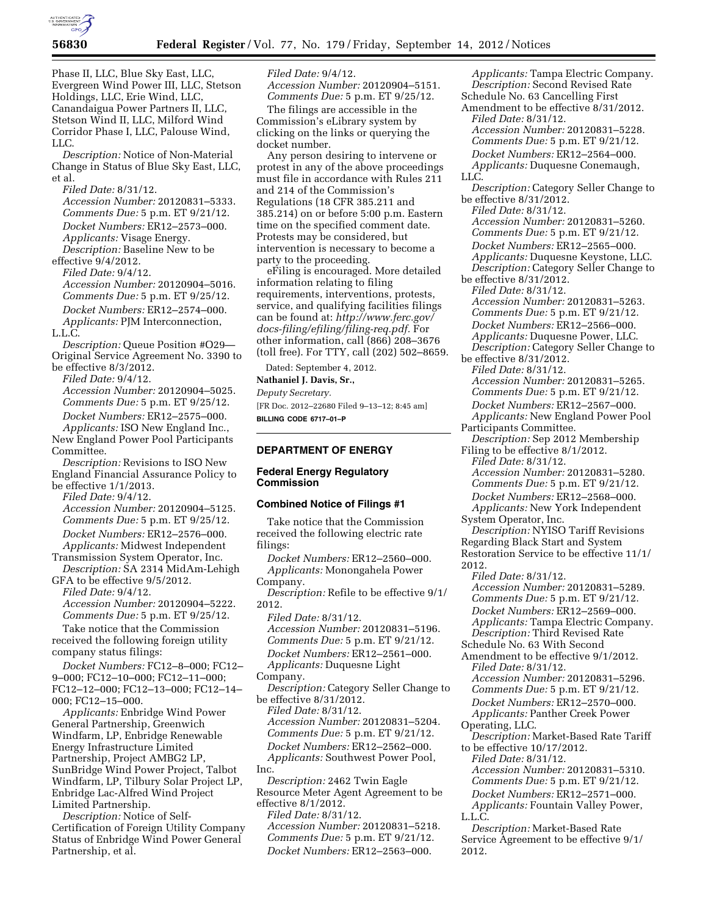

Phase II, LLC, Blue Sky East, LLC, Evergreen Wind Power III, LLC, Stetson Holdings, LLC, Erie Wind, LLC, Canandaigua Power Partners II, LLC, Stetson Wind II, LLC, Milford Wind Corridor Phase I, LLC, Palouse Wind,  $LLC$ 

*Description:* Notice of Non-Material Change in Status of Blue Sky East, LLC, et al.

*Filed Date:* 8/31/12.

*Accession Number:* 20120831–5333. *Comments Due:* 5 p.m. ET 9/21/12. *Docket Numbers:* ER12–2573–000. *Applicants:* Visage Energy. *Description:* Baseline New to be effective 9/4/2012.

*Filed Date:* 9/4/12.

*Accession Number:* 20120904–5016. *Comments Due:* 5 p.m. ET 9/25/12. *Docket Numbers:* ER12–2574–000. *Applicants:* PJM Interconnection, L.L.C.

*Description:* Queue Position #O29— Original Service Agreement No. 3390 to be effective 8/3/2012.

*Filed Date:* 9/4/12.

*Accession Number:* 20120904–5025. *Comments Due:* 5 p.m. ET 9/25/12. *Docket Numbers:* ER12–2575–000.

*Applicants:* ISO New England Inc., New England Power Pool Participants Committee.

*Description:* Revisions to ISO New England Financial Assurance Policy to be effective 1/1/2013.

*Filed Date:* 9/4/12.

*Accession Number:* 20120904–5125. *Comments Due:* 5 p.m. ET 9/25/12. *Docket Numbers:* ER12–2576–000. *Applicants:* Midwest Independent

Transmission System Operator, Inc. *Description:* SA 2314 MidAm-Lehigh GFA to be effective 9/5/2012.

*Filed Date:* 9/4/12.

*Accession Number:* 20120904–5222. *Comments Due:* 5 p.m. ET 9/25/12.

Take notice that the Commission received the following foreign utility company status filings:

*Docket Numbers:* FC12–8–000; FC12– 9–000; FC12–10–000; FC12–11–000; FC12–12–000; FC12–13–000; FC12–14– 000; FC12–15–000.

*Applicants:* Enbridge Wind Power General Partnership, Greenwich Windfarm, LP, Enbridge Renewable Energy Infrastructure Limited Partnership, Project AMBG2 LP, SunBridge Wind Power Project, Talbot Windfarm, LP, Tilbury Solar Project LP, Enbridge Lac-Alfred Wind Project Limited Partnership.

*Description:* Notice of Self-Certification of Foreign Utility Company Status of Enbridge Wind Power General Partnership, et al.

*Filed Date:* 9/4/12. *Accession Number:* 20120904–5151. *Comments Due:* 5 p.m. ET 9/25/12.

The filings are accessible in the Commission's eLibrary system by clicking on the links or querying the docket number.

Any person desiring to intervene or protest in any of the above proceedings must file in accordance with Rules 211 and 214 of the Commission's Regulations (18 CFR 385.211 and 385.214) on or before 5:00 p.m. Eastern time on the specified comment date. Protests may be considered, but intervention is necessary to become a party to the proceeding.

eFiling is encouraged. More detailed information relating to filing requirements, interventions, protests, service, and qualifying facilities filings can be found at: *[http://www.ferc.gov/](http://www.ferc.gov/docs-filing/efiling/filing-req.pdf)  [docs-filing/efiling/filing-req.pdf.](http://www.ferc.gov/docs-filing/efiling/filing-req.pdf)* For other information, call (866) 208–3676 (toll free). For TTY, call (202) 502–8659.

Dated: September 4, 2012.

**Nathaniel J. Davis, Sr.,** 

*Deputy Secretary.* 

[FR Doc. 2012–22680 Filed 9–13–12; 8:45 am] **BILLING CODE 6717–01–P** 

# **DEPARTMENT OF ENERGY**

# **Federal Energy Regulatory Commission**

### **Combined Notice of Filings #1**

Take notice that the Commission received the following electric rate filings:

*Docket Numbers:* ER12–2560–000. *Applicants:* Monongahela Power Company.

*Description:* Refile to be effective 9/1/ 2012.

*Filed Date:* 8/31/12. *Accession Number:* 20120831–5196. *Comments Due:* 5 p.m. ET 9/21/12. *Docket Numbers:* ER12–2561–000. *Applicants:* Duquesne Light

Company.

*Description:* Category Seller Change to be effective 8/31/2012. *Filed Date:* 8/31/12.

*Accession Number:* 20120831–5204. *Comments Due:* 5 p.m. ET 9/21/12. *Docket Numbers:* ER12–2562–000. *Applicants:* Southwest Power Pool, Inc.

*Description:* 2462 Twin Eagle Resource Meter Agent Agreement to be effective 8/1/2012.

*Filed Date:* 8/31/12. *Accession Number:* 20120831–5218. *Comments Due:* 5 p.m. ET 9/21/12. *Docket Numbers:* ER12–2563–000.

*Applicants:* Tampa Electric Company. *Description:* Second Revised Rate Schedule No. 63 Cancelling First Amendment to be effective 8/31/2012. *Filed Date:* 8/31/12. *Accession Number:* 20120831–5228. *Comments Due:* 5 p.m. ET 9/21/12. *Docket Numbers:* ER12–2564–000. *Applicants:* Duquesne Conemaugh, LLC. *Description:* Category Seller Change to be effective 8/31/2012. *Filed Date:* 8/31/12. *Accession Number:* 20120831–5260. *Comments Due:* 5 p.m. ET 9/21/12. *Docket Numbers:* ER12–2565–000. *Applicants:* Duquesne Keystone, LLC. *Description:* Category Seller Change to be effective 8/31/2012. *Filed Date:* 8/31/12. *Accession Number:* 20120831–5263. *Comments Due:* 5 p.m. ET 9/21/12. *Docket Numbers:* ER12–2566–000. *Applicants:* Duquesne Power, LLC. *Description:* Category Seller Change to be effective 8/31/2012. *Filed Date:* 8/31/12. *Accession Number:* 20120831–5265. *Comments Due:* 5 p.m. ET 9/21/12. *Docket Numbers:* ER12–2567–000. *Applicants:* New England Power Pool Participants Committee. *Description:* Sep 2012 Membership Filing to be effective 8/1/2012. *Filed Date:* 8/31/12. *Accession Number:* 20120831–5280. *Comments Due:* 5 p.m. ET 9/21/12. *Docket Numbers:* ER12–2568–000. *Applicants:* New York Independent System Operator, Inc. *Description:* NYISO Tariff Revisions Regarding Black Start and System Restoration Service to be effective 11/1/ 2012. *Filed Date:* 8/31/12. *Accession Number:* 20120831–5289. *Comments Due:* 5 p.m. ET 9/21/12. *Docket Numbers:* ER12–2569–000. *Applicants:* Tampa Electric Company. *Description:* Third Revised Rate Schedule No. 63 With Second Amendment to be effective 9/1/2012. *Filed Date:* 8/31/12. *Accession Number:* 20120831–5296. *Comments Due:* 5 p.m. ET 9/21/12. *Docket Numbers:* ER12–2570–000. *Applicants:* Panther Creek Power Operating, LLC. *Description:* Market-Based Rate Tariff to be effective 10/17/2012. *Filed Date:* 8/31/12. *Accession Number:* 20120831–5310. *Comments Due:* 5 p.m. ET 9/21/12. *Docket Numbers:* ER12–2571–000. *Applicants:* Fountain Valley Power, L.L.C. *Description:* Market-Based Rate Service Agreement to be effective 9/1/ 2012.